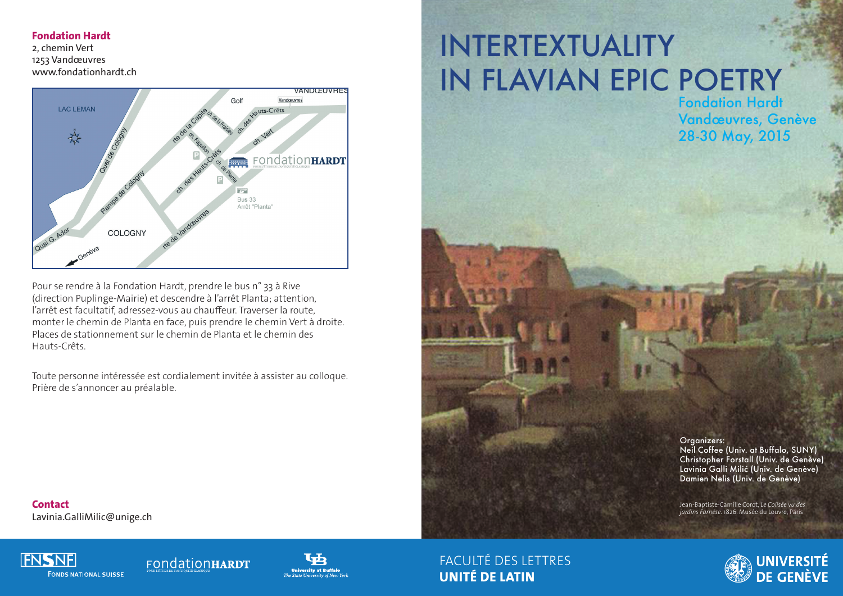#### **Fondation Hardt**

2, chemin Vert 1253 Vandœuvres www.fondationhardt.ch



Pour se rendre à la Fondation Hardt, prendre le bus n° 33 à Rive (direction Puplinge-Mairie) et descendre à l'arrêt Planta; attention, l'arrêt est facultatif, adressez-vous au chauffeur. Traverser la route, monter le chemin de Planta en face, puis prendre le chemin Vert à droite. Places de stationnement sur le chemin de Planta et le chemin des Hauts-Crêts.

Toute personne intéressée est cordialement invitée à assister au colloque. Prière de s'annoncer au préalable.

# INTERTEXTUALITY IN FLAVIAN EPIC POETRY

Fondation Hardt Vandœuvres, Genève 28-30 May, 2015

Organizers: Neil Coffee (Univ. at Buffalo, SUNY) Christopher Forstall (Univ. de Genève) Lavinia Galli Milić (Univ. de Genève) Damien Nelis (Univ. de Genève)

Jean-Baptiste-Camille Corot, *Le Colisée vu des jardins Farnèse.* 1826. Musée du Louvre, Paris

**Contact** Lavinia.GalliMilic@unige.ch



#### FondationHARDT



FACULTÉ DES LETTRES **UNITÉ DE LATIN**